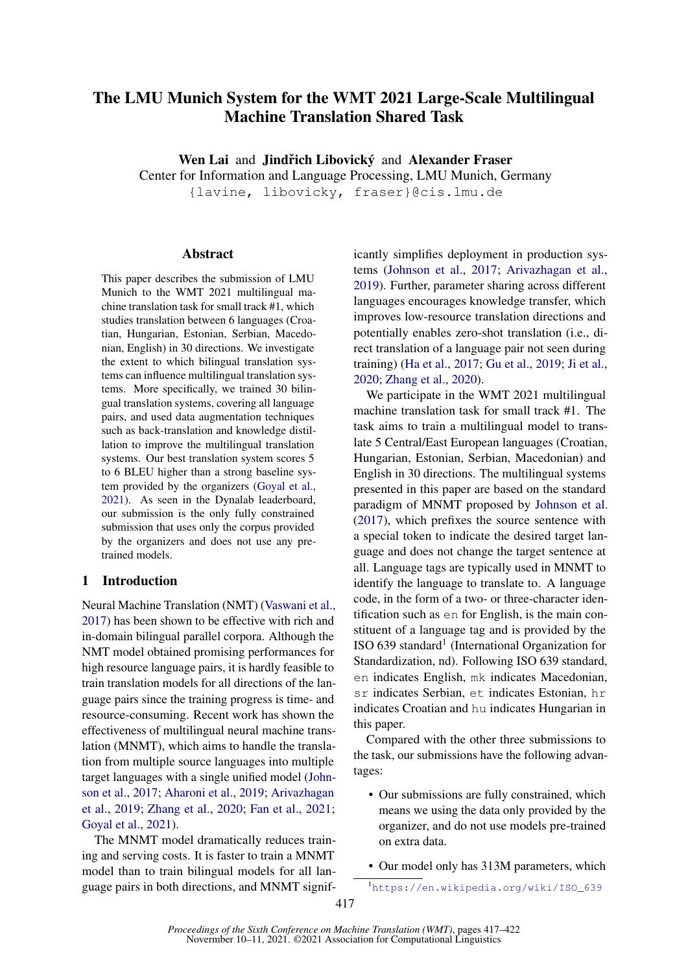# The LMU Munich System for the WMT 2021 Large-Scale Multilingual Machine Translation Shared Task

Wen Lai and Jindřich Libovický and Alexander Fraser

Center for Information and Language Processing, LMU Munich, Germany

{lavine, libovicky, fraser}@cis.lmu.de

#### **Abstract**

This paper describes the submission of LMU Munich to the WMT 2021 multilingual machine translation task for small track #1, which studies translation between 6 languages (Croatian, Hungarian, Estonian, Serbian, Macedonian, English) in 30 directions. We investigate the extent to which bilingual translation systems can influence multilingual translation systems. More specifically, we trained 30 bilingual translation systems, covering all language pairs, and used data augmentation techniques such as back-translation and knowledge distillation to improve the multilingual translation systems. Our best translation system scores 5 to 6 BLEU higher than a strong baseline system provided by the organizers [\(Goyal et al.,](#page-4-0) [2021\)](#page-4-0). As seen in the Dynalab leaderboard, our submission is the only fully constrained submission that uses only the corpus provided by the organizers and does not use any pretrained models.

## 1 Introduction

Neural Machine Translation (NMT) [\(Vaswani et al.,](#page-5-0) [2017\)](#page-5-0) has been shown to be effective with rich and in-domain bilingual parallel corpora. Although the NMT model obtained promising performances for high resource language pairs, it is hardly feasible to train translation models for all directions of the language pairs since the training progress is time- and resource-consuming. Recent work has shown the effectiveness of multilingual neural machine translation (MNMT), which aims to handle the translation from multiple source languages into multiple target languages with a single unified model [\(John](#page-4-1)[son et al.,](#page-4-1) [2017;](#page-4-1) [Aharoni et al.,](#page-4-2) [2019;](#page-4-2) [Arivazhagan](#page-4-3) [et al.,](#page-4-3) [2019;](#page-4-3) [Zhang et al.,](#page-5-1) [2020;](#page-5-1) [Fan et al.,](#page-4-4) [2021;](#page-4-4) [Goyal et al.,](#page-4-0) [2021\)](#page-4-0).

The MNMT model dramatically reduces training and serving costs. It is faster to train a MNMT model than to train bilingual models for all language pairs in both directions, and MNMT significantly simplifies deployment in production systems [\(Johnson et al.,](#page-4-1) [2017;](#page-4-1) [Arivazhagan et al.,](#page-4-3) [2019\)](#page-4-3). Further, parameter sharing across different languages encourages knowledge transfer, which improves low-resource translation directions and potentially enables zero-shot translation (i.e., direct translation of a language pair not seen during training) [\(Ha et al.,](#page-4-5) [2017;](#page-4-5) [Gu et al.,](#page-4-6) [2019;](#page-4-6) [Ji et al.,](#page-4-7) [2020;](#page-4-7) [Zhang et al.,](#page-5-1) [2020\)](#page-5-1).

We participate in the WMT 2021 multilingual machine translation task for small track #1. The task aims to train a multilingual model to translate 5 Central/East European languages (Croatian, Hungarian, Estonian, Serbian, Macedonian) and English in 30 directions. The multilingual systems presented in this paper are based on the standard paradigm of MNMT proposed by [Johnson et al.](#page-4-1) [\(2017\)](#page-4-1), which prefixes the source sentence with a special token to indicate the desired target language and does not change the target sentence at all. Language tags are typically used in MNMT to identify the language to translate to. A language code, in the form of a two- or three-character identification such as en for English, is the main constituent of a language tag and is provided by the ISO 639 standard<sup>[1](#page-0-0)</sup> (International Organization for Standardization, nd). Following ISO 639 standard, en indicates English, mk indicates Macedonian, sr indicates Serbian, et indicates Estonian, hr indicates Croatian and hu indicates Hungarian in this paper.

Compared with the other three submissions to the task, our submissions have the following advantages:

• Our submissions are fully constrained, which means we using the data only provided by the organizer, and do not use models pre-trained on extra data.

• Our model only has 313M parameters, which

<span id="page-0-0"></span><sup>1</sup>[https://en.wikipedia.org/wiki/ISO\\_639](https://en.wikipedia.org/wiki/ISO_639)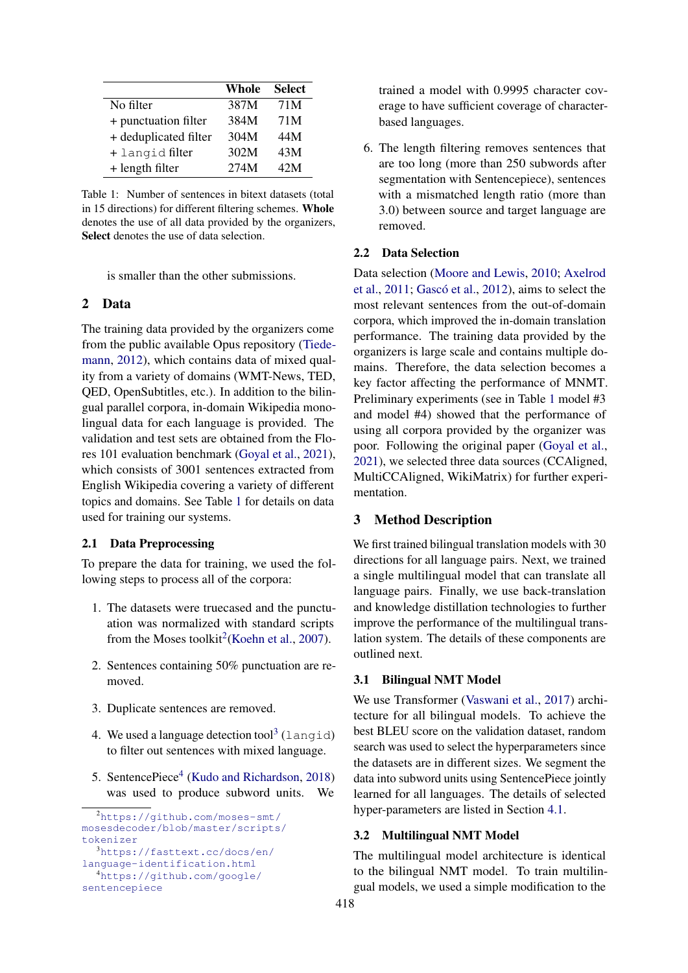<span id="page-1-0"></span>

|                       | Whole | <b>Select</b> |
|-----------------------|-------|---------------|
| No filter             | 387M  | 71M           |
| + punctuation filter  | 384M  | 71M           |
| + deduplicated filter | 304M  | 44M           |
| + langid filter       | 302M  | 43M           |
| $+$ length filter     | 274M  | 42 M          |

Table 1: Number of sentences in bitext datasets (total in 15 directions) for different filtering schemes. Whole denotes the use of all data provided by the organizers, Select denotes the use of data selection.

is smaller than the other submissions.

# 2 Data

The training data provided by the organizers come from the public available Opus repository [\(Tiede](#page-5-2)[mann,](#page-5-2) [2012\)](#page-5-2), which contains data of mixed quality from a variety of domains (WMT-News, TED, QED, OpenSubtitles, etc.). In addition to the bilingual parallel corpora, in-domain Wikipedia monolingual data for each language is provided. The validation and test sets are obtained from the Flores 101 evaluation benchmark [\(Goyal et al.,](#page-4-0) [2021\)](#page-4-0), which consists of 3001 sentences extracted from English Wikipedia covering a variety of different topics and domains. See Table [1](#page-1-0) for details on data used for training our systems.

#### 2.1 Data Preprocessing

To prepare the data for training, we used the following steps to process all of the corpora:

- 1. The datasets were truecased and the punctuation was normalized with standard scripts from the Moses toolkit<sup>[2](#page-1-1)</sup>[\(Koehn et al.,](#page-4-8) [2007\)](#page-4-8).
- 2. Sentences containing 50% punctuation are removed.
- 3. Duplicate sentences are removed.
- 4. We used a language detection tool<sup>[3](#page-1-2)</sup> (langid) to filter out sentences with mixed language.
- 5. SentencePiece<sup>[4](#page-1-3)</sup> [\(Kudo and Richardson,](#page-4-9) [2018\)](#page-4-9) was used to produce subword units. We

trained a model with 0.9995 character coverage to have sufficient coverage of characterbased languages.

6. The length filtering removes sentences that are too long (more than 250 subwords after segmentation with Sentencepiece), sentences with a mismatched length ratio (more than 3.0) between source and target language are removed.

#### 2.2 Data Selection

Data selection [\(Moore and Lewis,](#page-5-3) [2010;](#page-5-3) [Axelrod](#page-4-10) [et al.,](#page-4-10) [2011;](#page-4-10) [Gascó et al.,](#page-4-11) [2012\)](#page-4-11), aims to select the most relevant sentences from the out-of-domain corpora, which improved the in-domain translation performance. The training data provided by the organizers is large scale and contains multiple domains. Therefore, the data selection becomes a key factor affecting the performance of MNMT. Preliminary experiments (see in Table [1](#page-3-0) model #3 and model #4) showed that the performance of using all corpora provided by the organizer was poor. Following the original paper [\(Goyal et al.,](#page-4-0) [2021\)](#page-4-0), we selected three data sources (CCAligned, MultiCCAligned, WikiMatrix) for further experimentation.

#### 3 Method Description

We first trained bilingual translation models with 30 directions for all language pairs. Next, we trained a single multilingual model that can translate all language pairs. Finally, we use back-translation and knowledge distillation technologies to further improve the performance of the multilingual translation system. The details of these components are outlined next.

## 3.1 Bilingual NMT Model

We use Transformer [\(Vaswani et al.,](#page-5-0) [2017\)](#page-5-0) architecture for all bilingual models. To achieve the best BLEU score on the validation dataset, random search was used to select the hyperparameters since the datasets are in different sizes. We segment the data into subword units using SentencePiece jointly learned for all languages. The details of selected hyper-parameters are listed in Section [4.1.](#page-2-0)

# <span id="page-1-4"></span>3.2 Multilingual NMT Model

The multilingual model architecture is identical to the bilingual NMT model. To train multilingual models, we used a simple modification to the

<span id="page-1-3"></span><span id="page-1-2"></span><span id="page-1-1"></span><sup>2</sup>[https://github.com/moses-smt/](https://github.com/moses-smt/mosesdecoder/blob/master/scripts/tokenizer) [mosesdecoder/blob/master/scripts/](https://github.com/moses-smt/mosesdecoder/blob/master/scripts/tokenizer) [tokenizer](https://github.com/moses-smt/mosesdecoder/blob/master/scripts/tokenizer) <sup>3</sup>[https://fasttext.cc/docs/en/](https://fasttext.cc/docs/en/language-identification.html) [language-identification.html](https://fasttext.cc/docs/en/language-identification.html) <sup>4</sup>[https://github.com/google/](https://github.com/google/sentencepiece) [sentencepiece](https://github.com/google/sentencepiece)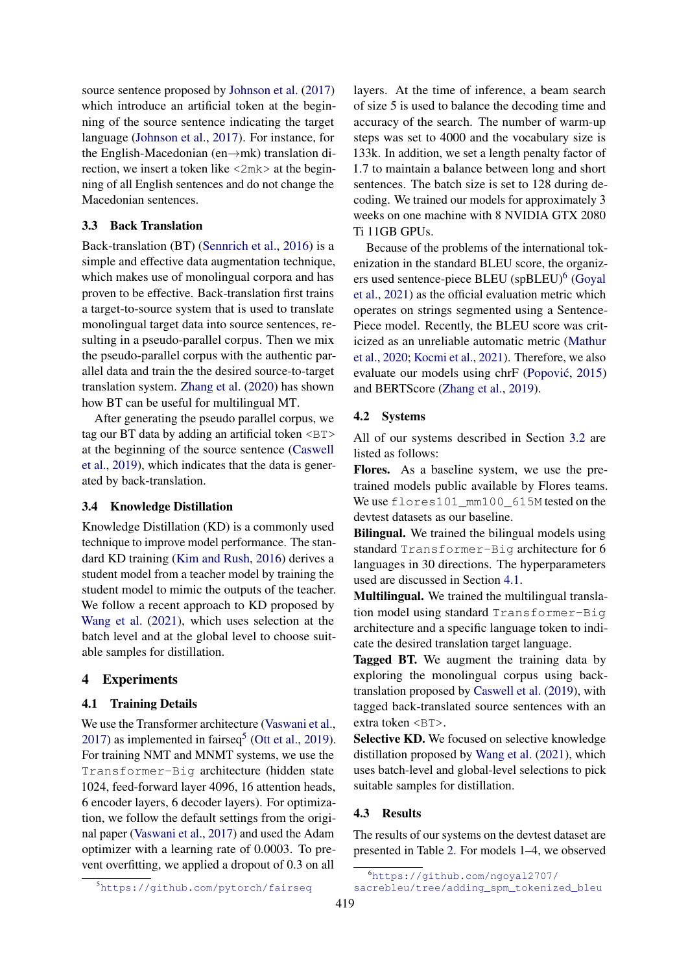source sentence proposed by [Johnson et al.](#page-4-1) [\(2017\)](#page-4-1) which introduce an artificial token at the beginning of the source sentence indicating the target language [\(Johnson et al.,](#page-4-1) [2017\)](#page-4-1). For instance, for the English-Macedonian (en→mk) translation direction, we insert a token like <2mk> at the beginning of all English sentences and do not change the Macedonian sentences.

## 3.3 Back Translation

Back-translation (BT) [\(Sennrich et al.,](#page-5-4) [2016\)](#page-5-4) is a simple and effective data augmentation technique, which makes use of monolingual corpora and has proven to be effective. Back-translation first trains a target-to-source system that is used to translate monolingual target data into source sentences, resulting in a pseudo-parallel corpus. Then we mix the pseudo-parallel corpus with the authentic parallel data and train the the desired source-to-target translation system. [Zhang et al.](#page-5-1) [\(2020\)](#page-5-1) has shown how BT can be useful for multilingual MT.

After generating the pseudo parallel corpus, we tag our BT data by adding an artificial token <BT> at the beginning of the source sentence [\(Caswell](#page-4-12) [et al.,](#page-4-12) [2019\)](#page-4-12), which indicates that the data is generated by back-translation.

## 3.4 Knowledge Distillation

Knowledge Distillation (KD) is a commonly used technique to improve model performance. The standard KD training [\(Kim and Rush,](#page-4-13) [2016\)](#page-4-13) derives a student model from a teacher model by training the student model to mimic the outputs of the teacher. We follow a recent approach to KD proposed by [Wang et al.](#page-5-5) [\(2021\)](#page-5-5), which uses selection at the batch level and at the global level to choose suitable samples for distillation.

### 4 Experiments

#### <span id="page-2-0"></span>4.1 Training Details

We use the Transformer architecture [\(Vaswani et al.,](#page-5-0) [2017\)](#page-5-0) as implemented in fairseq<sup>[5](#page-2-1)</sup> [\(Ott et al.,](#page-5-6) [2019\)](#page-5-6). For training NMT and MNMT systems, we use the Transformer-Big architecture (hidden state 1024, feed-forward layer 4096, 16 attention heads, 6 encoder layers, 6 decoder layers). For optimization, we follow the default settings from the original paper [\(Vaswani et al.,](#page-5-0) [2017\)](#page-5-0) and used the Adam optimizer with a learning rate of 0.0003. To prevent overfitting, we applied a dropout of 0.3 on all

layers. At the time of inference, a beam search of size 5 is used to balance the decoding time and accuracy of the search. The number of warm-up steps was set to 4000 and the vocabulary size is 133k. In addition, we set a length penalty factor of 1.7 to maintain a balance between long and short sentences. The batch size is set to 128 during decoding. We trained our models for approximately 3 weeks on one machine with 8 NVIDIA GTX 2080 Ti 11GB GPUs.

Because of the problems of the international tokenization in the standard BLEU score, the organiz-ers used sentence-piece BLEU (spBLEU)<sup>[6](#page-2-2)</sup> [\(Goyal](#page-4-0) [et al.,](#page-4-0) [2021\)](#page-4-0) as the official evaluation metric which operates on strings segmented using a Sentence-Piece model. Recently, the BLEU score was criticized as an unreliable automatic metric [\(Mathur](#page-5-7) [et al.,](#page-5-7) [2020;](#page-5-7) [Kocmi et al.,](#page-4-14) [2021\)](#page-4-14). Therefore, we also evaluate our models using chrF [\(Popovic´,](#page-5-8) [2015\)](#page-5-8) and BERTScore [\(Zhang et al.,](#page-5-9) [2019\)](#page-5-9).

#### 4.2 Systems

All of our systems described in Section [3.2](#page-1-4) are listed as follows:

Flores. As a baseline system, we use the pretrained models public available by Flores teams. We use flores101\_mm100\_615M tested on the devtest datasets as our baseline.

Bilingual. We trained the bilingual models using standard Transformer-Big architecture for 6 languages in 30 directions. The hyperparameters used are discussed in Section [4.1.](#page-2-0)

Multilingual. We trained the multilingual translation model using standard Transformer-Big architecture and a specific language token to indicate the desired translation target language.

Tagged BT. We augment the training data by exploring the monolingual corpus using backtranslation proposed by [Caswell et al.](#page-4-12) [\(2019\)](#page-4-12), with tagged back-translated source sentences with an extra token <BT>.

Selective KD. We focused on selective knowledge distillation proposed by [Wang et al.](#page-5-5) [\(2021\)](#page-5-5), which uses batch-level and global-level selections to pick suitable samples for distillation.

## 4.3 Results

The results of our systems on the devtest dataset are presented in Table [2.](#page-3-1) For models 1–4, we observed

<span id="page-2-1"></span><sup>5</sup><https://github.com/pytorch/fairseq>

<span id="page-2-2"></span><sup>6</sup>[https://github.com/ngoyal2707/](https://github.com/ngoyal2707/sacrebleu/tree/adding_spm_tokenized_bleu) [sacrebleu/tree/adding\\_spm\\_tokenized\\_bleu](https://github.com/ngoyal2707/sacrebleu/tree/adding_spm_tokenized_bleu)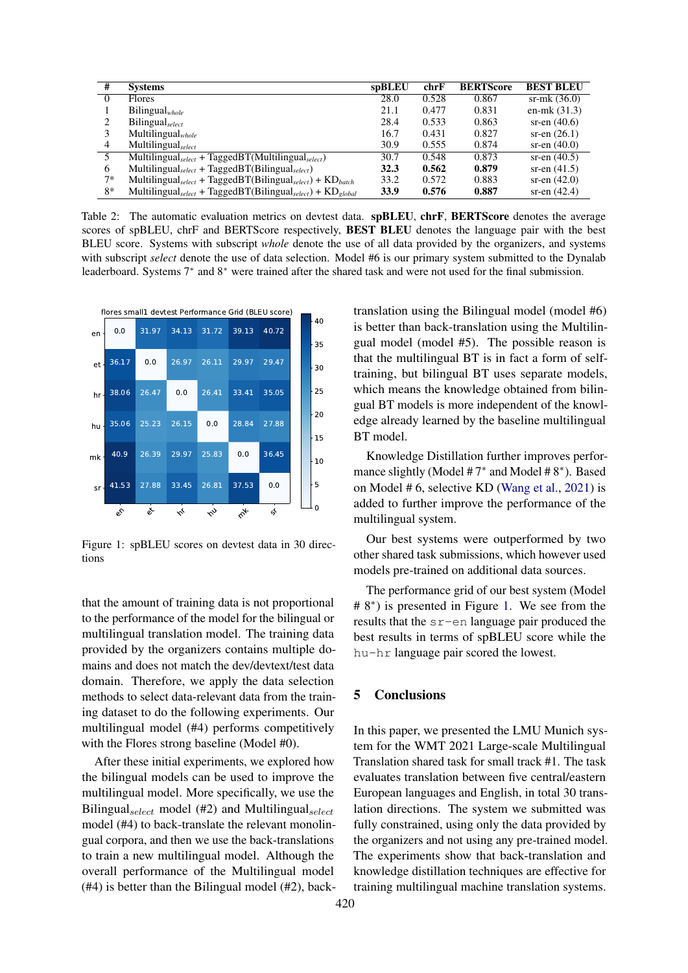<span id="page-3-1"></span>

| #        | <b>Systems</b>                                                                          | spBLEU | chrF  | <b>BERTScore</b> | <b>BEST BLEU</b> |
|----------|-----------------------------------------------------------------------------------------|--------|-------|------------------|------------------|
| $\Omega$ | <b>Flores</b>                                                                           | 28.0   | 0.528 | 0.867            | $sr-mk(36.0)$    |
|          | $Bilingual_{whole}$                                                                     | 21.1   | 0.477 | 0.831            | en-mk $(31.3)$   |
| 2        | Bilingual <sub>select</sub>                                                             | 28.4   | 0.533 | 0.863            | sr-en $(40.6)$   |
|          | Multilingual $_{whole}$                                                                 | 16.7   | 0.431 | 0.827            | sr-en $(26.1)$   |
| 4        | Multilingual <sub>select</sub>                                                          | 30.9   | 0.555 | 0.874            | sr-en $(40.0)$   |
| 5        | Multilingual <sub>select</sub> + TaggedBT(Multilingual <sub>select</sub> )              | 30.7   | 0.548 | 0.873            | sr-en $(40.5)$   |
| 6        | Multilingual <sub>select</sub> + TaggedBT(Bilingual <sub>select</sub> )                 | 32.3   | 0.562 | 0.879            | sr-en $(41.5)$   |
| $7*$     | Multilingual <sub>select</sub> + TaggedBT(Bilingual <sub>select</sub> ) + $KD_{batch}$  | 33.2   | 0.572 | 0.883            | sr-en $(42.0)$   |
| $8*$     | Multilingual <sub>select</sub> + TaggedBT(Bilingual <sub>select</sub> ) + $KD_{global}$ | 33.9   | 0.576 | 0.887            | sr-en $(42.4)$   |

Table 2: The automatic evaluation metrics on devtest data. **spBLEU, chrF, BERTScore** denotes the average scores of spBLEU, chrF and BERTScore respectively, **BEST BLEU** denotes the language pair with the best BLEU score. Systems with subscript *whole* denote the use of all data provided by the organizers, and systems with subscript *select* denote the use of data selection. Model #6 is our primary system submitted to the Dynalab leaderboard. Systems 7<sup>∗</sup> and 8<sup>∗</sup> were trained after the shared task and were not used for the final submission.

<span id="page-3-0"></span>

Figure 1: spBLEU scores on devtest data in 30 directions

that the amount of training data is not proportional to the performance of the model for the bilingual or multilingual translation model. The training data provided by the organizers contains multiple domains and does not match the dev/devtext/test data domain. Therefore, we apply the data selection methods to select data-relevant data from the training dataset to do the following experiments. Our multilingual model (#4) performs competitively with the Flores strong baseline (Model #0).

After these initial experiments, we explored how the bilingual models can be used to improve the multilingual model. More specifically, we use the Bilingual $_{select}$  model (#2) and Multilingual $_{select}$ model (#4) to back-translate the relevant monolingual corpora, and then we use the back-translations to train a new multilingual model. Although the overall performance of the Multilingual model (#4) is better than the Bilingual model (#2), backtranslation using the Bilingual model (model #6) is better than back-translation using the Multilingual model (model #5). The possible reason is that the multilingual BT is in fact a form of selftraining, but bilingual BT uses separate models, which means the knowledge obtained from bilingual BT models is more independent of the knowledge already learned by the baseline multilingual BT model.

Knowledge Distillation further improves performance slightly (Model #7<sup>\*</sup> and Model #8<sup>\*</sup>). Based on Model # 6, selective KD [\(Wang et al.,](#page-5-5) [2021\)](#page-5-5) is added to further improve the performance of the multilingual system.

Our best systems were outperformed by two other shared task submissions, which however used models pre-trained on additional data sources.

The performance grid of our best system (Model # 8<sup>∗</sup> ) is presented in Figure [1.](#page-3-0) We see from the results that the sr-en language pair produced the best results in terms of spBLEU score while the hu-hr language pair scored the lowest.

# 5 Conclusions

In this paper, we presented the LMU Munich system for the WMT 2021 Large-scale Multilingual Translation shared task for small track #1. The task evaluates translation between five central/eastern European languages and English, in total 30 translation directions. The system we submitted was fully constrained, using only the data provided by the organizers and not using any pre-trained model. The experiments show that back-translation and knowledge distillation techniques are effective for training multilingual machine translation systems.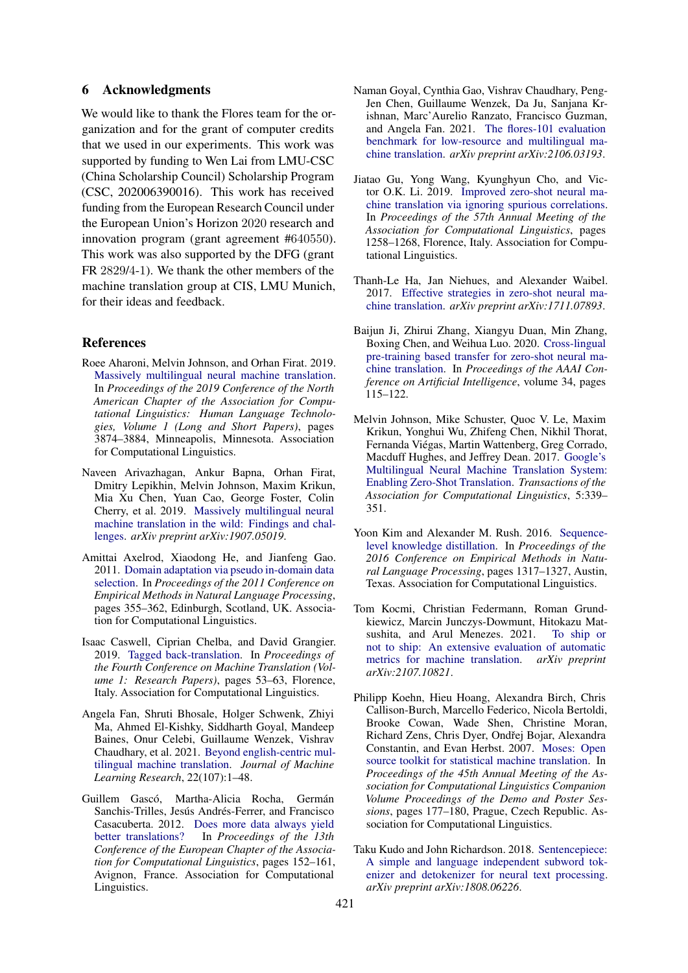## 6 Acknowledgments

We would like to thank the Flores team for the organization and for the grant of computer credits that we used in our experiments. This work was supported by funding to Wen Lai from LMU-CSC (China Scholarship Council) Scholarship Program (CSC, 202006390016). This work has received funding from the European Research Council under the European Union's Horizon 2020 research and innovation program (grant agreement #640550). This work was also supported by the DFG (grant FR 2829/4-1). We thank the other members of the machine translation group at CIS, LMU Munich, for their ideas and feedback.

#### References

- <span id="page-4-2"></span>Roee Aharoni, Melvin Johnson, and Orhan Firat. 2019. [Massively multilingual neural machine translation.](https://doi.org/10.18653/v1/N19-1388) In *Proceedings of the 2019 Conference of the North American Chapter of the Association for Computational Linguistics: Human Language Technologies, Volume 1 (Long and Short Papers)*, pages 3874–3884, Minneapolis, Minnesota. Association for Computational Linguistics.
- <span id="page-4-3"></span>Naveen Arivazhagan, Ankur Bapna, Orhan Firat, Dmitry Lepikhin, Melvin Johnson, Maxim Krikun, Mia Xu Chen, Yuan Cao, George Foster, Colin Cherry, et al. 2019. [Massively multilingual neural](https://arxiv.org/abs/1907.05019) [machine translation in the wild: Findings and chal](https://arxiv.org/abs/1907.05019)[lenges.](https://arxiv.org/abs/1907.05019) *arXiv preprint arXiv:1907.05019*.
- <span id="page-4-10"></span>Amittai Axelrod, Xiaodong He, and Jianfeng Gao. 2011. [Domain adaptation via pseudo in-domain data](https://aclanthology.org/D11-1033) [selection.](https://aclanthology.org/D11-1033) In *Proceedings of the 2011 Conference on Empirical Methods in Natural Language Processing*, pages 355–362, Edinburgh, Scotland, UK. Association for Computational Linguistics.
- <span id="page-4-12"></span>Isaac Caswell, Ciprian Chelba, and David Grangier. 2019. [Tagged back-translation.](https://doi.org/10.18653/v1/W19-5206) In *Proceedings of the Fourth Conference on Machine Translation (Volume 1: Research Papers)*, pages 53–63, Florence, Italy. Association for Computational Linguistics.
- <span id="page-4-4"></span>Angela Fan, Shruti Bhosale, Holger Schwenk, Zhiyi Ma, Ahmed El-Kishky, Siddharth Goyal, Mandeep Baines, Onur Celebi, Guillaume Wenzek, Vishrav Chaudhary, et al. 2021. [Beyond english-centric mul](https://www.jmlr.org/papers/volume22/20-1307/20-1307.pdf)[tilingual machine translation.](https://www.jmlr.org/papers/volume22/20-1307/20-1307.pdf) *Journal of Machine Learning Research*, 22(107):1–48.
- <span id="page-4-11"></span>Guillem Gascó, Martha-Alicia Rocha, Germán Sanchis-Trilles, Jesús Andrés-Ferrer, and Francisco Casacuberta. 2012. [Does more data always yield](https://aclanthology.org/E12-1016) [better translations?](https://aclanthology.org/E12-1016) In *Proceedings of the 13th Conference of the European Chapter of the Association for Computational Linguistics*, pages 152–161, Avignon, France. Association for Computational Linguistics.
- <span id="page-4-0"></span>Naman Goyal, Cynthia Gao, Vishrav Chaudhary, Peng-Jen Chen, Guillaume Wenzek, Da Ju, Sanjana Krishnan, Marc'Aurelio Ranzato, Francisco Guzman, and Angela Fan. 2021. [The flores-101 evaluation](https://arxiv.org/abs/2106.03193) [benchmark for low-resource and multilingual ma](https://arxiv.org/abs/2106.03193)[chine translation.](https://arxiv.org/abs/2106.03193) *arXiv preprint arXiv:2106.03193*.
- <span id="page-4-6"></span>Jiatao Gu, Yong Wang, Kyunghyun Cho, and Victor O.K. Li. 2019. [Improved zero-shot neural ma](https://doi.org/10.18653/v1/P19-1121)[chine translation via ignoring spurious correlations.](https://doi.org/10.18653/v1/P19-1121) In *Proceedings of the 57th Annual Meeting of the Association for Computational Linguistics*, pages 1258–1268, Florence, Italy. Association for Computational Linguistics.
- <span id="page-4-5"></span>Thanh-Le Ha, Jan Niehues, and Alexander Waibel. 2017. [Effective strategies in zero-shot neural ma](https://arxiv.org/abs/1711.07893)[chine translation.](https://arxiv.org/abs/1711.07893) *arXiv preprint arXiv:1711.07893*.
- <span id="page-4-7"></span>Baijun Ji, Zhirui Zhang, Xiangyu Duan, Min Zhang, Boxing Chen, and Weihua Luo. 2020. [Cross-lingual](https://ojs.aaai.org/index.php/AAAI/article/view/5341) [pre-training based transfer for zero-shot neural ma](https://ojs.aaai.org/index.php/AAAI/article/view/5341)[chine translation.](https://ojs.aaai.org/index.php/AAAI/article/view/5341) In *Proceedings of the AAAI Conference on Artificial Intelligence*, volume 34, pages 115–122.
- <span id="page-4-1"></span>Melvin Johnson, Mike Schuster, Quoc V. Le, Maxim Krikun, Yonghui Wu, Zhifeng Chen, Nikhil Thorat, Fernanda Viégas, Martin Wattenberg, Greg Corrado, Macduff Hughes, and Jeffrey Dean. 2017. [Google's](https://doi.org/10.1162/tacl_a_00065) [Multilingual Neural Machine Translation System:](https://doi.org/10.1162/tacl_a_00065) [Enabling Zero-Shot Translation.](https://doi.org/10.1162/tacl_a_00065) *Transactions of the Association for Computational Linguistics*, 5:339– 351.
- <span id="page-4-13"></span>Yoon Kim and Alexander M. Rush. 2016. [Sequence](https://doi.org/10.18653/v1/D16-1139)[level knowledge distillation.](https://doi.org/10.18653/v1/D16-1139) In *Proceedings of the 2016 Conference on Empirical Methods in Natural Language Processing*, pages 1317–1327, Austin, Texas. Association for Computational Linguistics.
- <span id="page-4-14"></span>Tom Kocmi, Christian Federmann, Roman Grundkiewicz, Marcin Junczys-Dowmunt, Hitokazu Matsushita, and Arul Menezes. 2021. [To ship or](https://arxiv.org/pdf/2107.10821.pdf) [not to ship: An extensive evaluation of automatic](https://arxiv.org/pdf/2107.10821.pdf) [metrics for machine translation.](https://arxiv.org/pdf/2107.10821.pdf) *arXiv preprint arXiv:2107.10821*.
- <span id="page-4-8"></span>Philipp Koehn, Hieu Hoang, Alexandra Birch, Chris Callison-Burch, Marcello Federico, Nicola Bertoldi, Brooke Cowan, Wade Shen, Christine Moran, Richard Zens, Chris Dyer, Ondřej Bojar, Alexandra Constantin, and Evan Herbst. 2007. [Moses: Open](https://aclanthology.org/P07-2045) [source toolkit for statistical machine translation.](https://aclanthology.org/P07-2045) In *Proceedings of the 45th Annual Meeting of the Association for Computational Linguistics Companion Volume Proceedings of the Demo and Poster Sessions*, pages 177–180, Prague, Czech Republic. Association for Computational Linguistics.
- <span id="page-4-9"></span>Taku Kudo and John Richardson. 2018. [Sentencepiece:](https://arxiv.org/abs/1808.06226) [A simple and language independent subword tok](https://arxiv.org/abs/1808.06226)[enizer and detokenizer for neural text processing.](https://arxiv.org/abs/1808.06226) *arXiv preprint arXiv:1808.06226*.